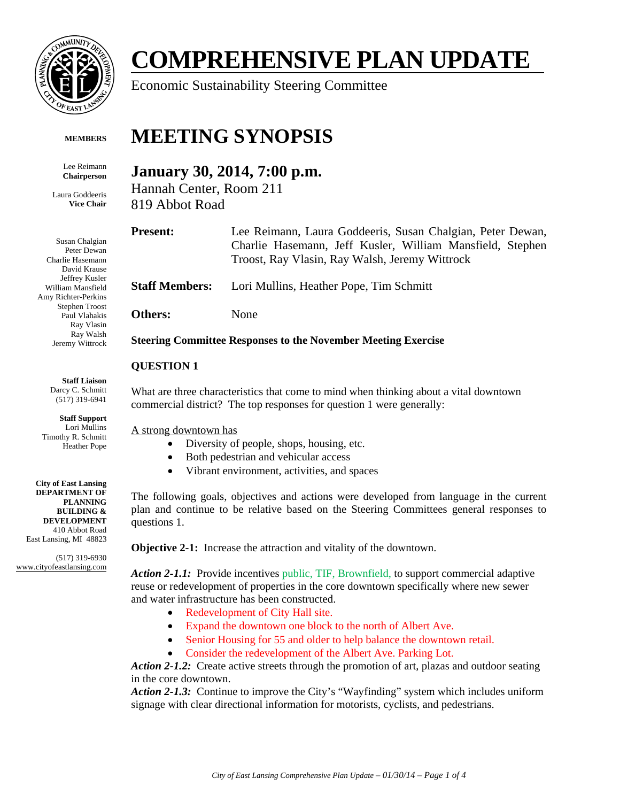

# **COMPREHENSIVE PLAN UPDATE**

Economic Sustainability Steering Committee

#### **MEMBERS**

Lee Reimann **Chairperson** 

Laura Goddeeris **Vice Chair** 

Susan Chalgian Peter Dewan Charlie Hasemann David Krause Jeffrey Kusler William Mansfield Amy Richter-Perkins Stephen Troost Paul Vlahakis Ray Vlasin Ray Walsh Jeremy Wittrock

> **Staff Liaison**  Darcy C. Schmitt (517) 319-6941

**Staff Support**  Lori Mullins Timothy R. Schmitt Heather Pope

**City of East Lansing DEPARTMENT OF PLANNING BUILDING & DEVELOPMENT**  410 Abbot Road East Lansing, MI 48823

(517) 319-6930 www.cityofeastlansing.com

# **MEETING SYNOPSIS**

# **January 30, 2014, 7:00 p.m.**

Hannah Center, Room 211 819 Abbot Road

**Present:** Lee Reimann, Laura Goddeeris, Susan Chalgian, Peter Dewan, Charlie Hasemann, Jeff Kusler, William Mansfield, Stephen Troost, Ray Vlasin, Ray Walsh, Jeremy Wittrock

**Staff Members:** Lori Mullins, Heather Pope, Tim Schmitt

**Others:** None

#### **Steering Committee Responses to the November Meeting Exercise**

### **QUESTION 1**

What are three characteristics that come to mind when thinking about a vital downtown commercial district? The top responses for question 1 were generally:

A strong downtown has

- Diversity of people, shops, housing, etc.
- Both pedestrian and vehicular access
- Vibrant environment, activities, and spaces

The following goals, objectives and actions were developed from language in the current plan and continue to be relative based on the Steering Committees general responses to questions 1.

**Objective 2-1:** Increase the attraction and vitality of the downtown.

Action 2-1.1: Provide incentives public, TIF, Brownfield, to support commercial adaptive reuse or redevelopment of properties in the core downtown specifically where new sewer and water infrastructure has been constructed.

- Redevelopment of City Hall site.
- Expand the downtown one block to the north of Albert Ave.
- Senior Housing for 55 and older to help balance the downtown retail.
- Consider the redevelopment of the Albert Ave. Parking Lot.

Action 2-1.2: Create active streets through the promotion of art, plazas and outdoor seating in the core downtown.

*Action 2-1.3:* Continue to improve the City's "Wayfinding" system which includes uniform signage with clear directional information for motorists, cyclists, and pedestrians.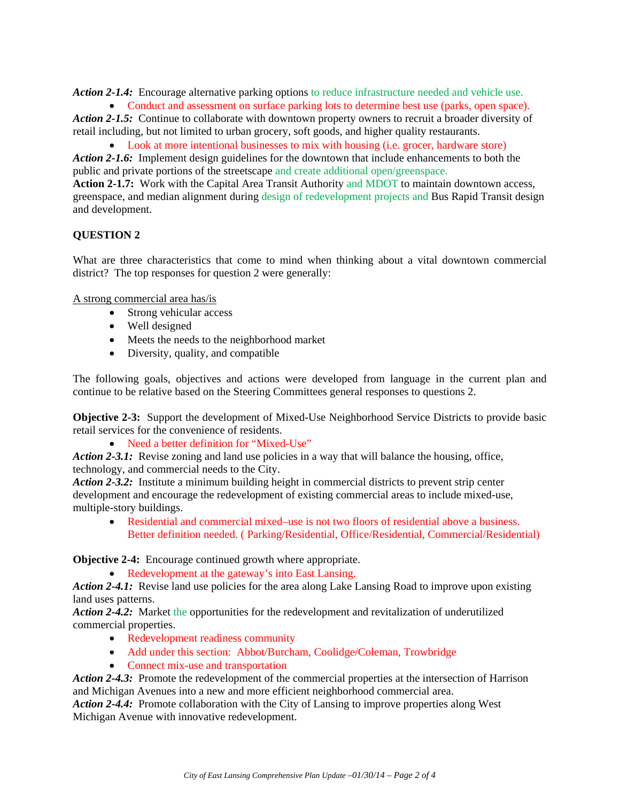*Action 2-1.4:* Encourage alternative parking options to reduce infrastructure needed and vehicle use.

• Conduct and assessment on surface parking lots to determine best use (parks, open space). *Action 2-1.5:* Continue to collaborate with downtown property owners to recruit a broader diversity of

retail including, but not limited to urban grocery, soft goods, and higher quality restaurants.

 Look at more intentional businesses to mix with housing (i.e. grocer, hardware store) *Action 2-1.6:* Implement design guidelines for the downtown that include enhancements to both the public and private portions of the streetscape and create additional open/greenspace.

**Action 2-1.7:** Work with the Capital Area Transit Authority and MDOT to maintain downtown access, greenspace, and median alignment during design of redevelopment projects and Bus Rapid Transit design and development.

## **QUESTION 2**

What are three characteristics that come to mind when thinking about a vital downtown commercial district? The top responses for question 2 were generally:

A strong commercial area has/is

- Strong vehicular access
- Well designed
- Meets the needs to the neighborhood market
- Diversity, quality, and compatible

The following goals, objectives and actions were developed from language in the current plan and continue to be relative based on the Steering Committees general responses to questions 2.

**Objective 2-3:** Support the development of Mixed-Use Neighborhood Service Districts to provide basic retail services for the convenience of residents.

• Need a better definition for "Mixed-Use"

*Action 2-3.1:* Revise zoning and land use policies in a way that will balance the housing, office, technology, and commercial needs to the City.

*Action 2-3.2:* Institute a minimum building height in commercial districts to prevent strip center development and encourage the redevelopment of existing commercial areas to include mixed-use, multiple-story buildings.

 Residential and commercial mixed–use is not two floors of residential above a business. Better definition needed. ( Parking/Residential, Office/Residential, Commercial/Residential)

**Objective 2-4:** Encourage continued growth where appropriate.

• Redevelopment at the gateway's into East Lansing.

Action 2-4.1: Revise land use policies for the area along Lake Lansing Road to improve upon existing land uses patterns.

*Action 2-4.2:* Market the opportunities for the redevelopment and revitalization of underutilized commercial properties.

- Redevelopment readiness community
- Add under this section: Abbot/Burcham, Coolidge/Coleman, Trowbridge
- Connect mix-use and transportation

*Action 2-4.3:* Promote the redevelopment of the commercial properties at the intersection of Harrison and Michigan Avenues into a new and more efficient neighborhood commercial area.

Action 2-4.4: Promote collaboration with the City of Lansing to improve properties along West Michigan Avenue with innovative redevelopment.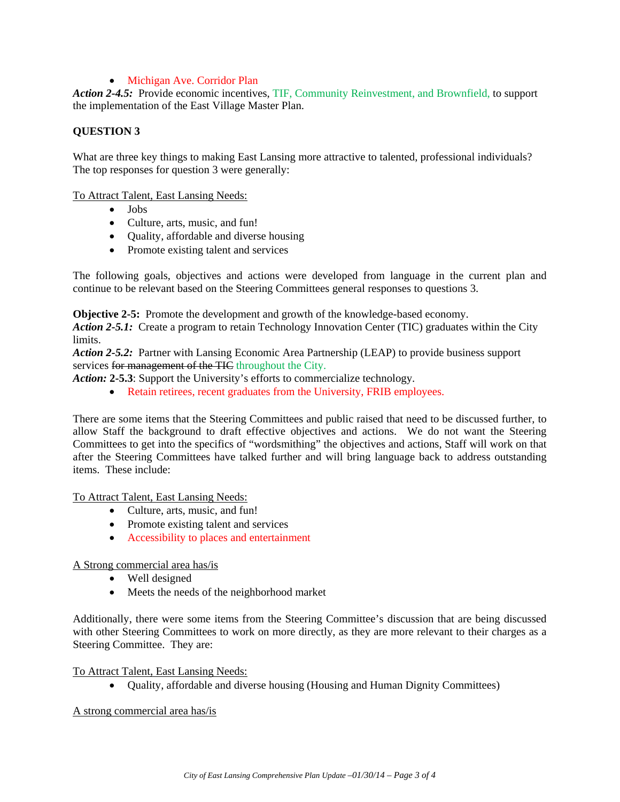#### • Michigan Ave. Corridor Plan

Action 2-4.5: Provide economic incentives, TIF, Community Reinvestment, and Brownfield, to support the implementation of the East Village Master Plan.

#### **QUESTION 3**

What are three key things to making East Lansing more attractive to talented, professional individuals? The top responses for question 3 were generally:

To Attract Talent, East Lansing Needs:

- Jobs
- Culture, arts, music, and fun!
- Quality, affordable and diverse housing
- Promote existing talent and services

The following goals, objectives and actions were developed from language in the current plan and continue to be relevant based on the Steering Committees general responses to questions 3.

**Objective 2-5:** Promote the development and growth of the knowledge-based economy.

*Action 2-5.1:* Create a program to retain Technology Innovation Center (TIC) graduates within the City limits.

*Action 2-5.2:* Partner with Lansing Economic Area Partnership (LEAP) to provide business support services for management of the TIC throughout the City.

*Action:* **2-5.3**: Support the University's efforts to commercialize technology.

• Retain retirees, recent graduates from the University, FRIB employees.

There are some items that the Steering Committees and public raised that need to be discussed further, to allow Staff the background to draft effective objectives and actions. We do not want the Steering Committees to get into the specifics of "wordsmithing" the objectives and actions, Staff will work on that after the Steering Committees have talked further and will bring language back to address outstanding items. These include:

To Attract Talent, East Lansing Needs:

- Culture, arts, music, and fun!
- Promote existing talent and services
- Accessibility to places and entertainment

#### A Strong commercial area has/is

- Well designed
- Meets the needs of the neighborhood market

Additionally, there were some items from the Steering Committee's discussion that are being discussed with other Steering Committees to work on more directly, as they are more relevant to their charges as a Steering Committee. They are:

To Attract Talent, East Lansing Needs:

Quality, affordable and diverse housing (Housing and Human Dignity Committees)

#### A strong commercial area has/is